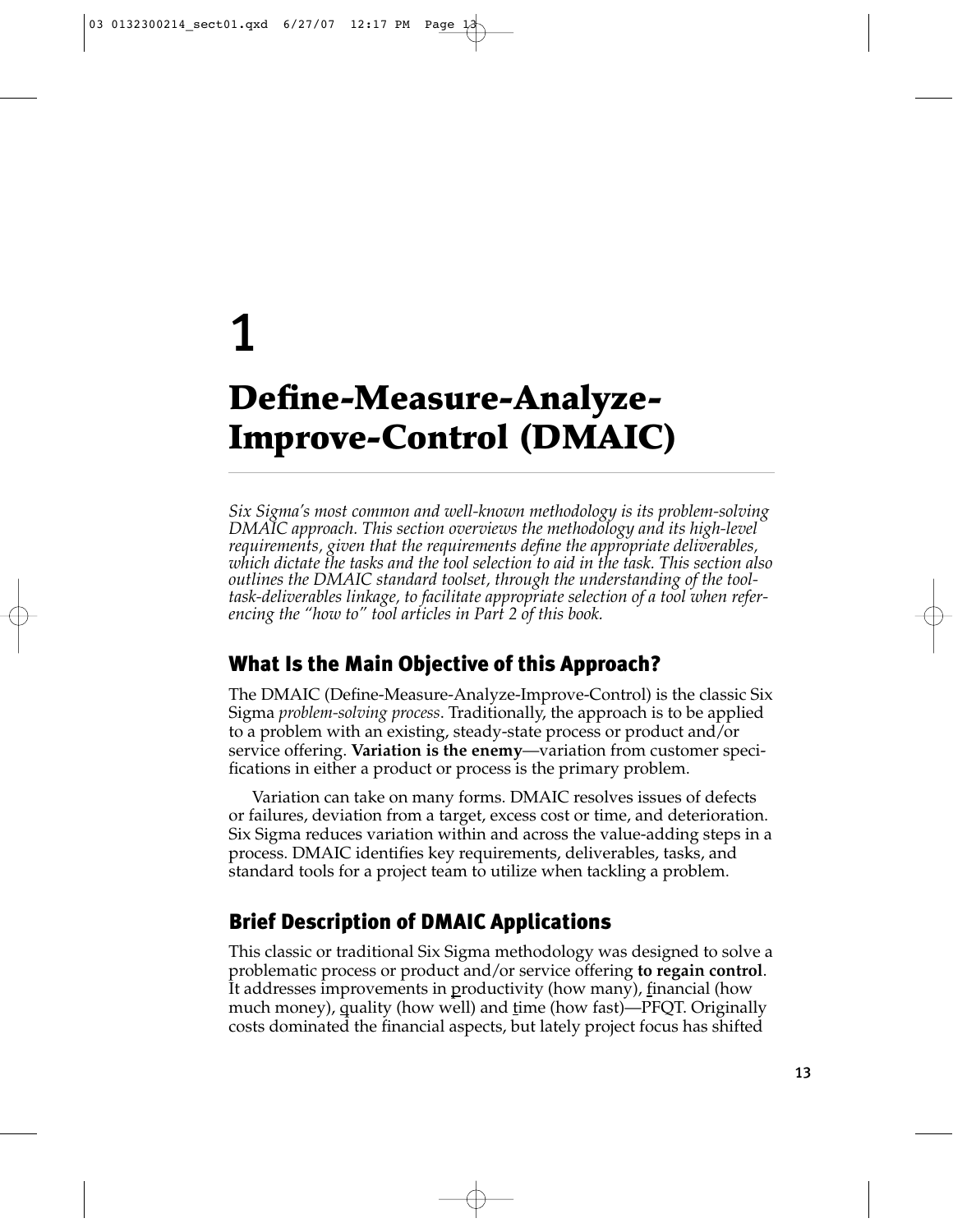# 1 **Define-Measure-Analyze-Improve-Control (DMAIC)**

*Six Sigma's most common and well-known methodology is its problem-solving DMAIC approach. This section overviews the methodology and its high-level requirements, given that the requirements define the appropriate deliverables, which dictate the tasks and the tool selection to aid in the task. This section also outlines the DMAIC standard toolset, through the understanding of the tooltask-deliverables linkage, to facilitate appropriate selection of a tool when referencing the "how to" tool articles in Part 2 of this book.*

## What Is the Main Objective of this Approach?

The DMAIC (Define-Measure-Analyze-Improve-Control) is the classic Six Sigma *problem-solving process*. Traditionally, the approach is to be applied to a problem with an existing, steady-state process or product and/or service offering. **Variation is the enemy**—variation from customer specifications in either a product or process is the primary problem.

Variation can take on many forms. DMAIC resolves issues of defects or failures, deviation from a target, excess cost or time, and deterioration. Six Sigma reduces variation within and across the value-adding steps in a process. DMAIC identifies key requirements, deliverables, tasks, and standard tools for a project team to utilize when tackling a problem.

## Brief Description of DMAIC Applications

This classic or traditional Six Sigma methodology was designed to solve a problematic process or product and/or service offering **to regain control**. It addresses improvements in productivity (how many), financial (how much money), quality (how well) and time (how fast)—PFQT. Originally costs dominated the financial aspects, but lately project focus has shifted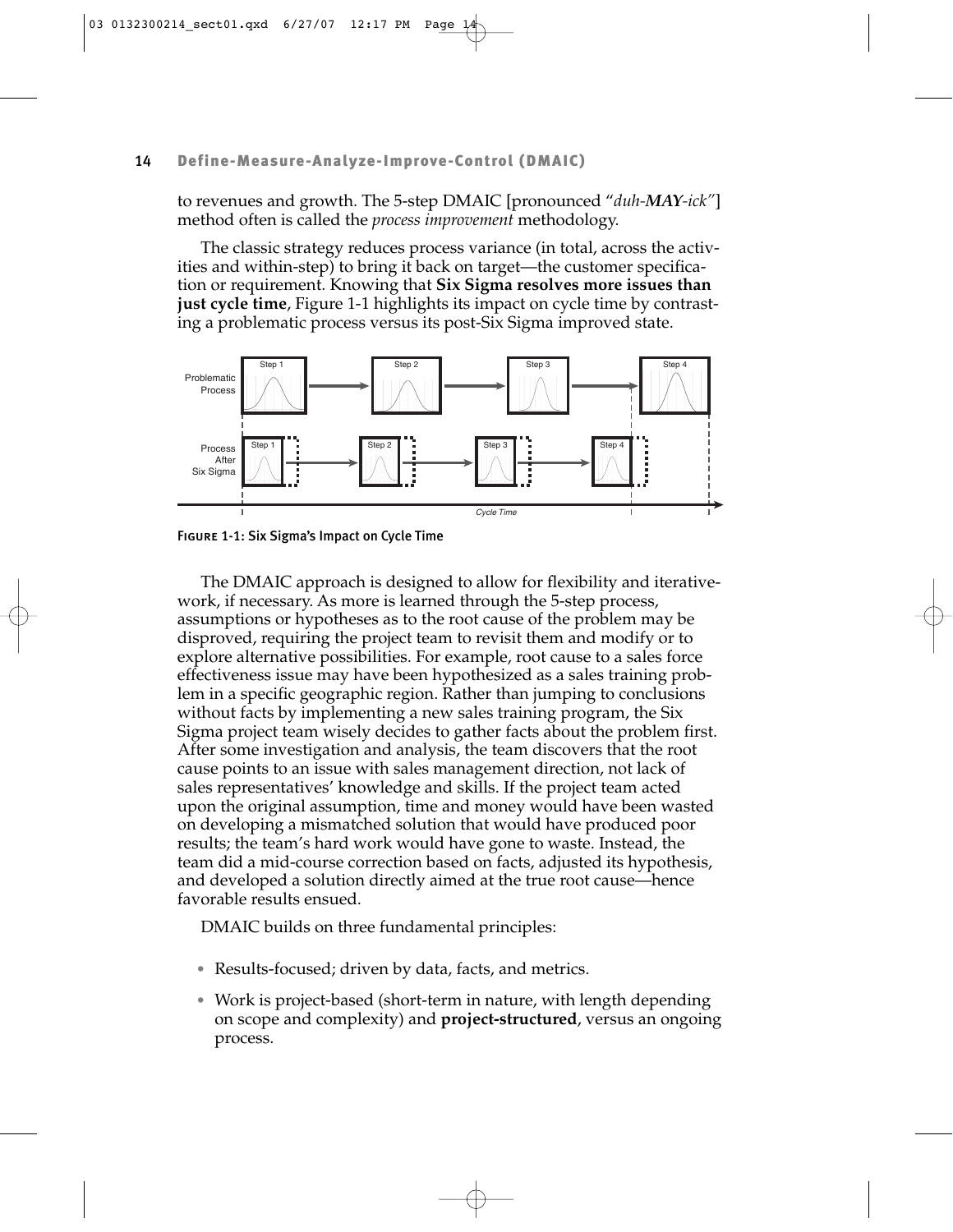to revenues and growth. The 5-step DMAIC [pronounced "*duh-MAY-ick"*] method often is called the *process improvement* methodology.

The classic strategy reduces process variance (in total, across the activities and within-step) to bring it back on target—the customer specification or requirement. Knowing that **Six Sigma resolves more issues than just cycle time**, Figure 1-1 highlights its impact on cycle time by contrasting a problematic process versus its post-Six Sigma improved state.



Figure 1-1: Six Sigma's Impact on Cycle Time

The DMAIC approach is designed to allow for flexibility and iterativework, if necessary. As more is learned through the 5-step process, assumptions or hypotheses as to the root cause of the problem may be disproved, requiring the project team to revisit them and modify or to explore alternative possibilities. For example, root cause to a sales force effectiveness issue may have been hypothesized as a sales training problem in a specific geographic region. Rather than jumping to conclusions without facts by implementing a new sales training program, the Six Sigma project team wisely decides to gather facts about the problem first. After some investigation and analysis, the team discovers that the root cause points to an issue with sales management direction, not lack of sales representatives' knowledge and skills. If the project team acted upon the original assumption, time and money would have been wasted on developing a mismatched solution that would have produced poor results; the team's hard work would have gone to waste. Instead, the team did a mid-course correction based on facts, adjusted its hypothesis, and developed a solution directly aimed at the true root cause—hence favorable results ensued.

DMAIC builds on three fundamental principles:

- Results-focused; driven by data, facts, and metrics.
- Work is project-based (short-term in nature, with length depending on scope and complexity) and **project-structured**, versus an ongoing process.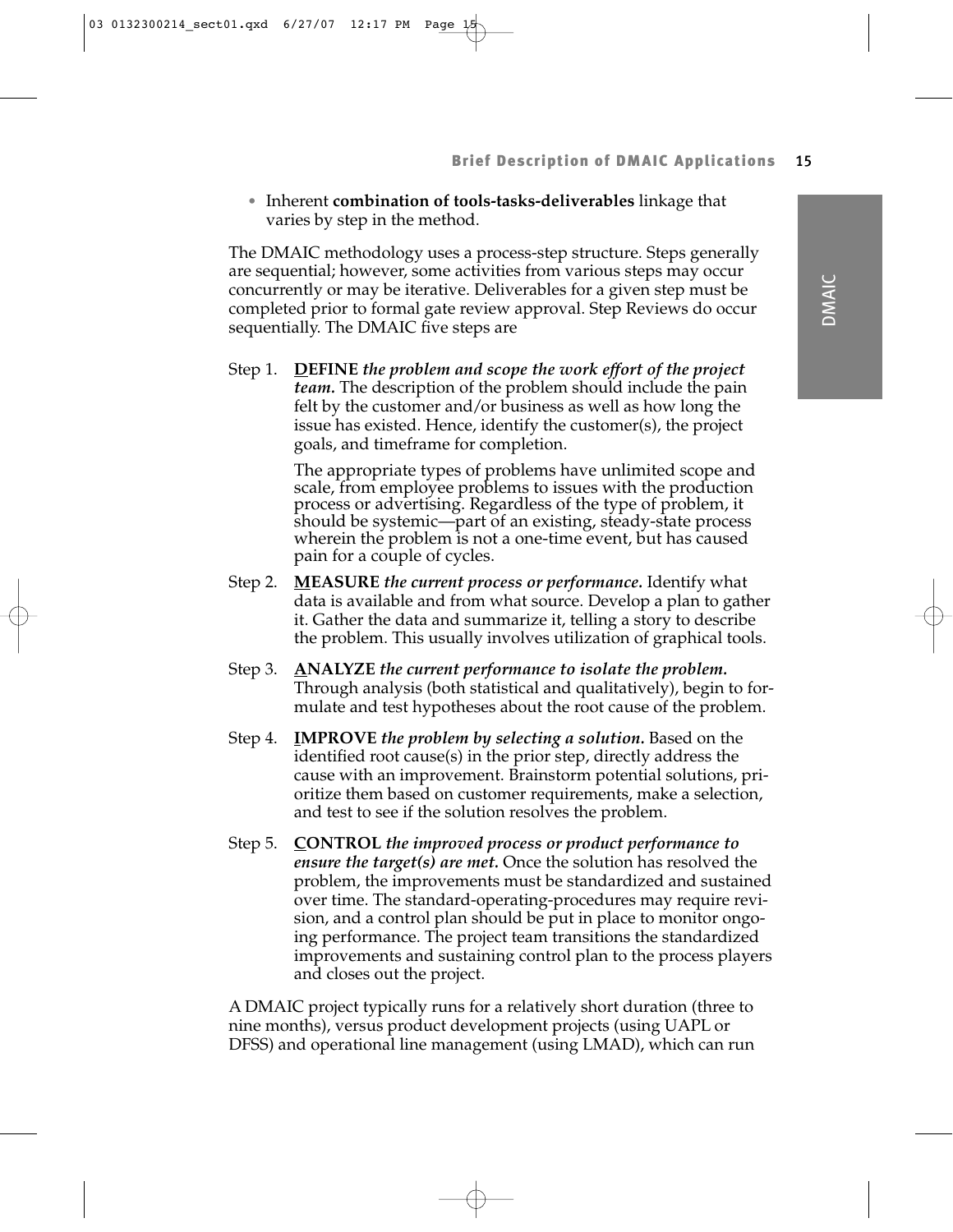• Inherent **combination of tools-tasks-deliverables** linkage that varies by step in the method.

The DMAIC methodology uses a process-step structure. Steps generally are sequential; however, some activities from various steps may occur concurrently or may be iterative. Deliverables for a given step must be completed prior to formal gate review approval. Step Reviews do occur sequentially. The DMAIC five steps are

Step 1. **DEFINE** *the problem and scope the work effort of the project team.* The description of the problem should include the pain felt by the customer and/or business as well as how long the issue has existed. Hence, identify the customer(s), the project goals, and timeframe for completion.

> The appropriate types of problems have unlimited scope and scale, from employee problems to issues with the production process or advertising. Regardless of the type of problem, it should be systemic—part of an existing, steady-state process wherein the problem is not a one-time event, but has caused pain for a couple of cycles.

- Step 2. **MEASURE** *the current process or performance.* Identify what data is available and from what source. Develop a plan to gather it. Gather the data and summarize it, telling a story to describe the problem. This usually involves utilization of graphical tools.
- Step 3. **ANALYZE** *the current performance to isolate the problem.* Through analysis (both statistical and qualitatively), begin to formulate and test hypotheses about the root cause of the problem.
- Step 4. **IMPROVE** *the problem by selecting a solution.* Based on the identified root cause(s) in the prior step, directly address the cause with an improvement. Brainstorm potential solutions, prioritize them based on customer requirements, make a selection, and test to see if the solution resolves the problem.
- Step 5. **CONTROL** *the improved process or product performance to ensure the target(s) are met.* Once the solution has resolved the problem, the improvements must be standardized and sustained over time. The standard-operating-procedures may require revision, and a control plan should be put in place to monitor ongoing performance. The project team transitions the standardized improvements and sustaining control plan to the process players and closes out the project.

A DMAIC project typically runs for a relatively short duration (three to nine months), versus product development projects (using UAPL or DFSS) and operational line management (using LMAD), which can run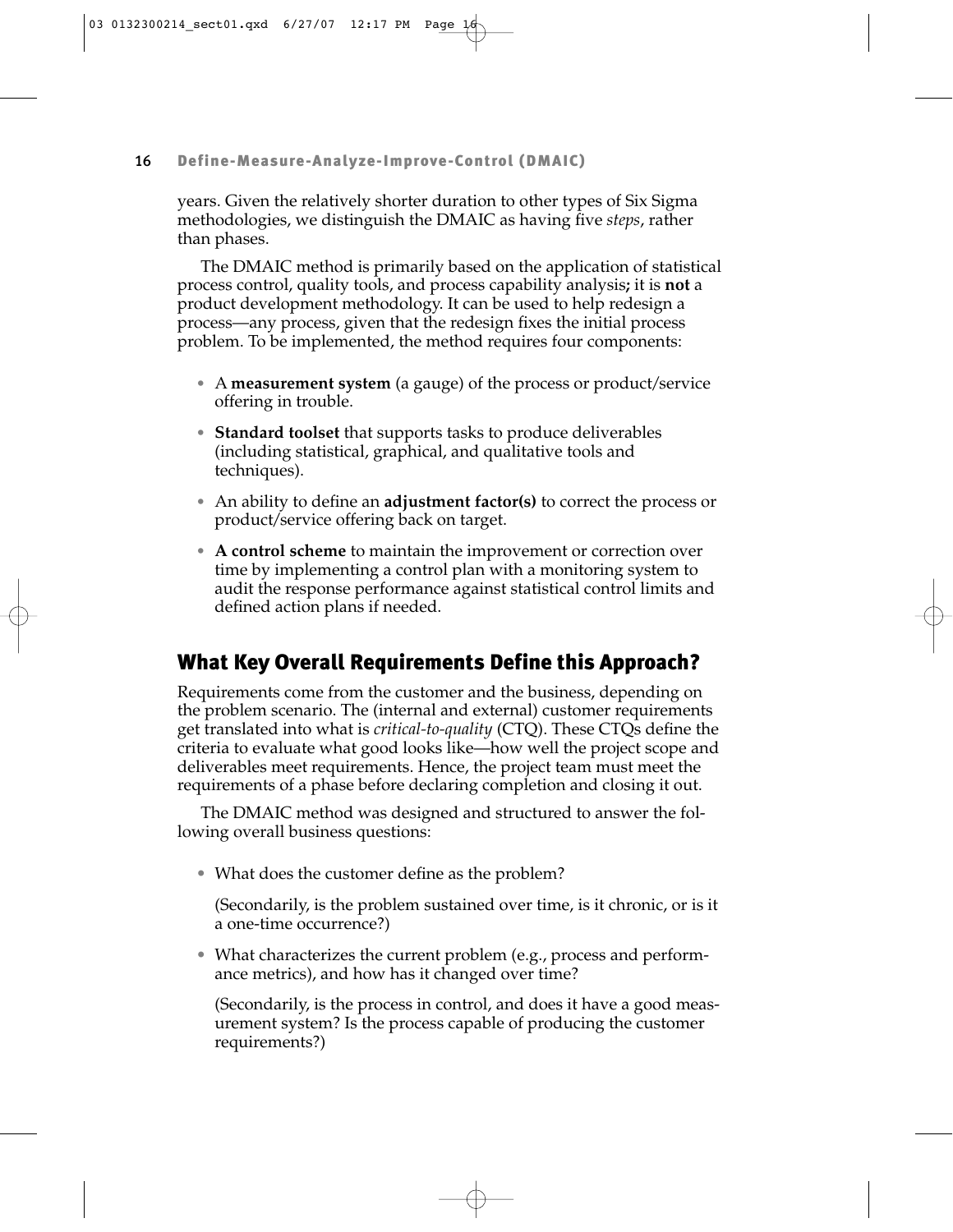years. Given the relatively shorter duration to other types of Six Sigma methodologies, we distinguish the DMAIC as having five *steps*, rather than phases.

The DMAIC method is primarily based on the application of statistical process control, quality tools, and process capability analysis**;** it is **not** a product development methodology. It can be used to help redesign a process—any process, given that the redesign fixes the initial process problem. To be implemented, the method requires four components:

- A **measurement system** (a gauge) of the process or product/service offering in trouble.
- **Standard toolset** that supports tasks to produce deliverables (including statistical, graphical, and qualitative tools and techniques).
- An ability to define an **adjustment factor(s)** to correct the process or product/service offering back on target.
- **A control scheme** to maintain the improvement or correction over time by implementing a control plan with a monitoring system to audit the response performance against statistical control limits and defined action plans if needed.

# What Key Overall Requirements Define this Approach?

Requirements come from the customer and the business, depending on the problem scenario. The (internal and external) customer requirements get translated into what is *critical-to-quality* (CTQ). These CTQs define the criteria to evaluate what good looks like—how well the project scope and deliverables meet requirements. Hence, the project team must meet the requirements of a phase before declaring completion and closing it out.

The DMAIC method was designed and structured to answer the following overall business questions:

• What does the customer define as the problem?

(Secondarily, is the problem sustained over time, is it chronic, or is it a one-time occurrence?)

• What characterizes the current problem (e.g., process and performance metrics), and how has it changed over time?

(Secondarily, is the process in control, and does it have a good measurement system? Is the process capable of producing the customer requirements?)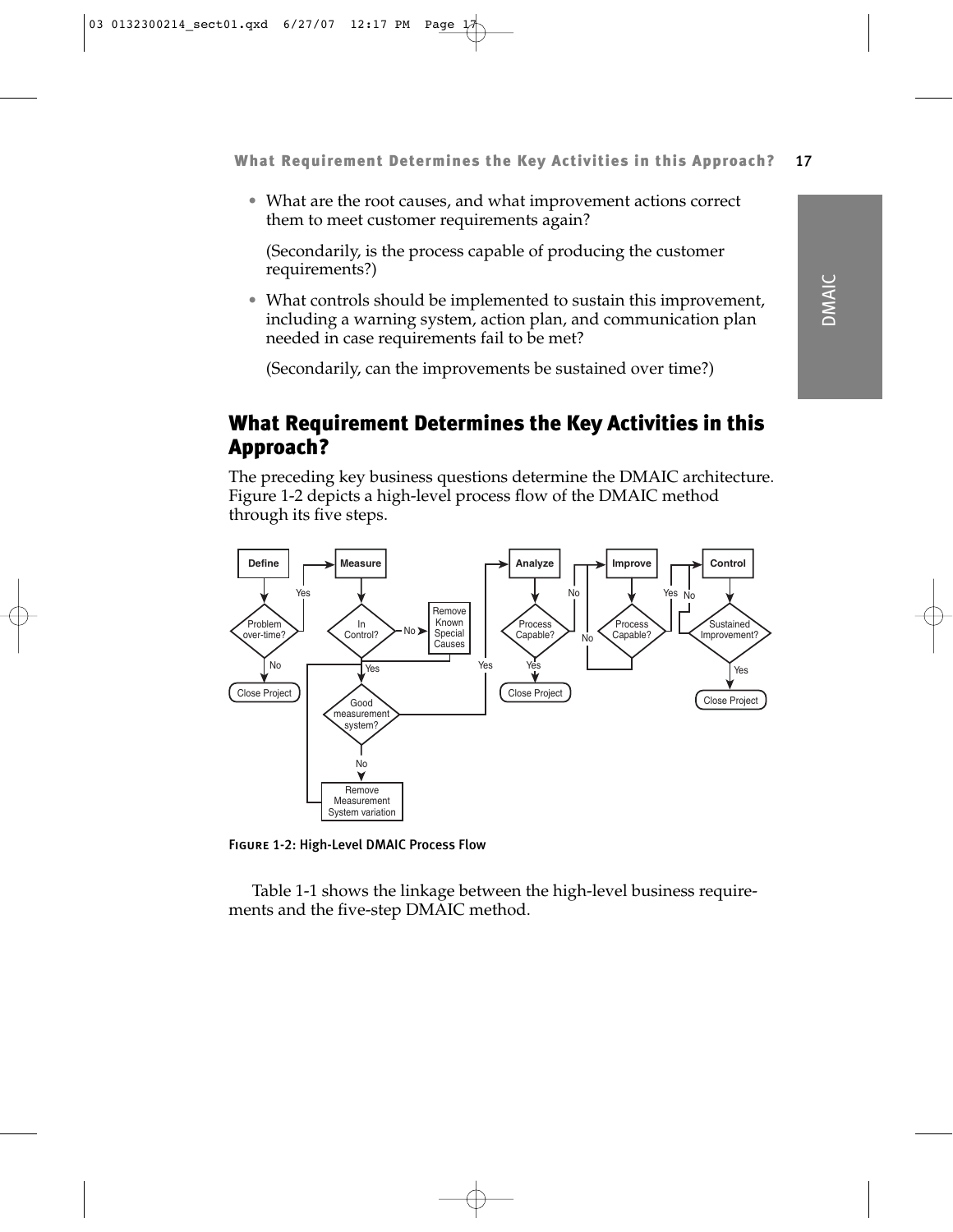• What are the root causes, and what improvement actions correct them to meet customer requirements again?

(Secondarily, is the process capable of producing the customer requirements?)

• What controls should be implemented to sustain this improvement, including a warning system, action plan, and communication plan needed in case requirements fail to be met?

(Secondarily, can the improvements be sustained over time?)

## What Requirement Determines the Key Activities in this Approach?

The preceding key business questions determine the DMAIC architecture. Figure 1-2 depicts a high-level process flow of the DMAIC method through its five steps.



Figure 1-2: High-Level DMAIC Process Flow

Table 1-1 shows the linkage between the high-level business requirements and the five-step DMAIC method.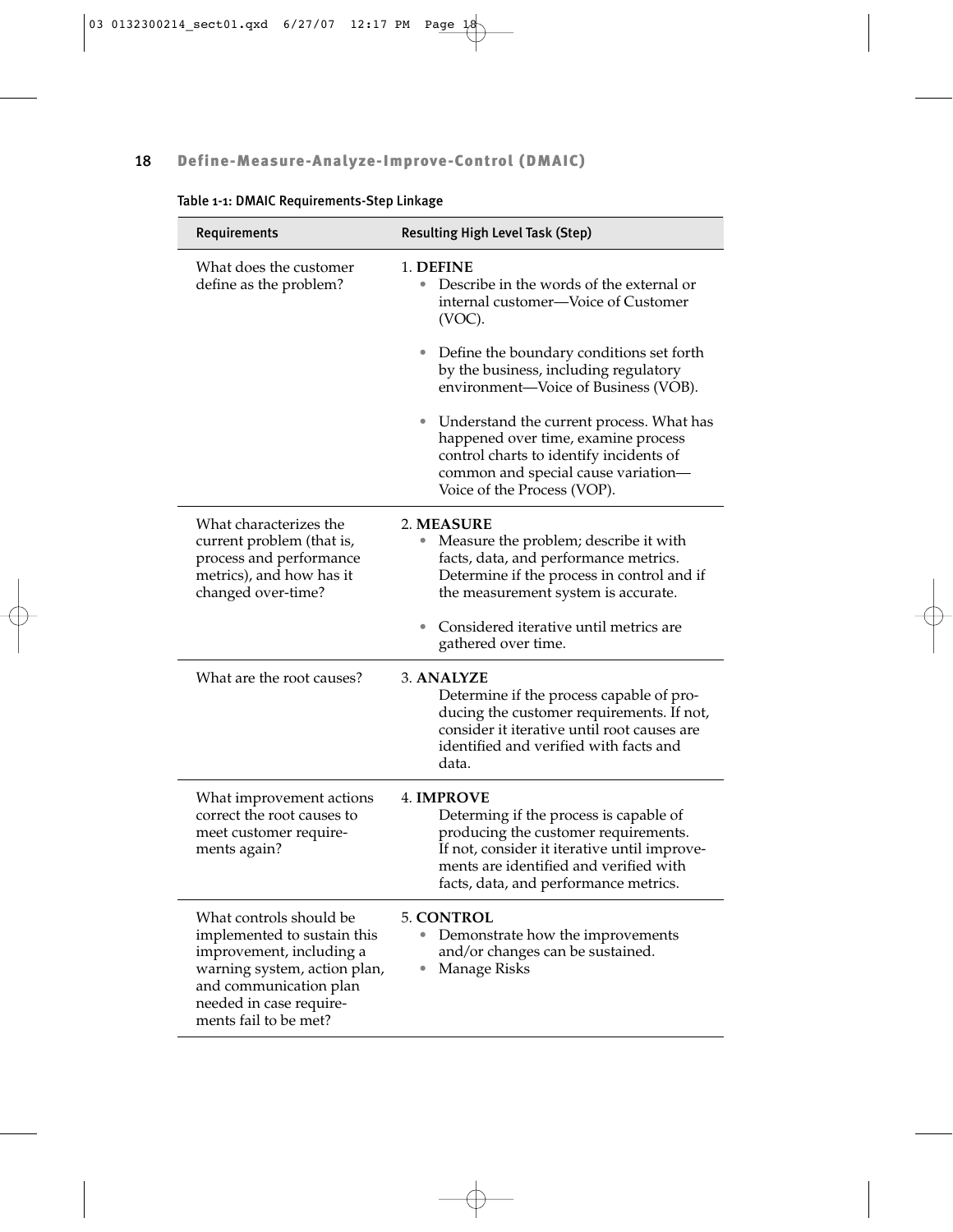| Requirements                                                                                                                                                                                     | <b>Resulting High Level Task (Step)</b>                                                                                                                                                                                                |
|--------------------------------------------------------------------------------------------------------------------------------------------------------------------------------------------------|----------------------------------------------------------------------------------------------------------------------------------------------------------------------------------------------------------------------------------------|
| What does the customer<br>define as the problem?                                                                                                                                                 | 1. DEFINE<br>Describe in the words of the external or<br>$\bullet$<br>internal customer—Voice of Customer<br>(VOC).                                                                                                                    |
|                                                                                                                                                                                                  | Define the boundary conditions set forth<br>by the business, including regulatory<br>environment-Voice of Business (VOB).                                                                                                              |
|                                                                                                                                                                                                  | Understand the current process. What has<br>۰<br>happened over time, examine process<br>control charts to identify incidents of<br>common and special cause variation-<br>Voice of the Process (VOP).                                  |
| What characterizes the<br>current problem (that is,<br>process and performance<br>metrics), and how has it<br>changed over-time?                                                                 | 2. MEASURE<br>Measure the problem; describe it with<br>facts, data, and performance metrics.<br>Determine if the process in control and if<br>the measurement system is accurate.                                                      |
|                                                                                                                                                                                                  | Considered iterative until metrics are<br>gathered over time.                                                                                                                                                                          |
| What are the root causes?                                                                                                                                                                        | 3. ANALYZE<br>Determine if the process capable of pro-<br>ducing the customer requirements. If not,<br>consider it iterative until root causes are<br>identified and verified with facts and<br>data.                                  |
| What improvement actions<br>correct the root causes to<br>meet customer require-<br>ments again?                                                                                                 | <b>4. IMPROVE</b><br>Determing if the process is capable of<br>producing the customer requirements.<br>If not, consider it iterative until improve-<br>ments are identified and verified with<br>facts, data, and performance metrics. |
| What controls should be<br>implemented to sustain this<br>improvement, including a<br>warning system, action plan,<br>and communication plan<br>needed in case require-<br>ments fail to be met? | 5. CONTROL<br>Demonstrate how the improvements<br>and/or changes can be sustained.<br><b>Manage Risks</b>                                                                                                                              |

|  | Table 1-1: DMAIC Requirements-Step Linkage |  |
|--|--------------------------------------------|--|
|--|--------------------------------------------|--|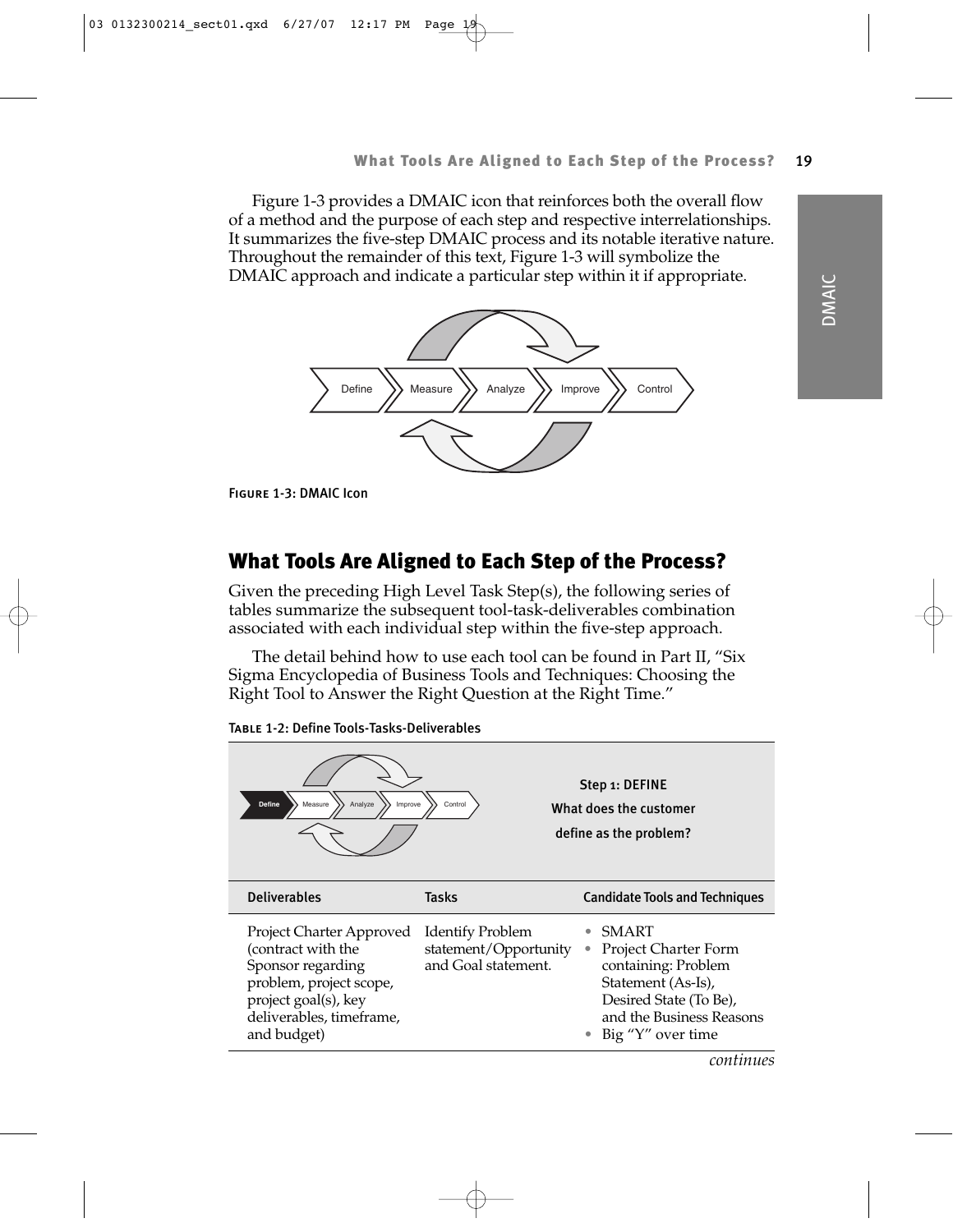Figure 1-3 provides a DMAIC icon that reinforces both the overall flow of a method and the purpose of each step and respective interrelationships. It summarizes the five-step DMAIC process and its notable iterative nature. Throughout the remainder of this text, Figure 1-3 will symbolize the DMAIC approach and indicate a particular step within it if appropriate.



Figure 1-3: DMAIC Icon

Table 1-2: Define Tools-Tasks-Deliverables

## What Tools Are Aligned to Each Step of the Process?

Given the preceding High Level Task Step(s), the following series of tables summarize the subsequent tool-task-deliverables combination associated with each individual step within the five-step approach.

The detail behind how to use each tool can be found in Part II, "Six Sigma Encyclopedia of Business Tools and Techniques: Choosing the Right Tool to Answer the Right Question at the Right Time."

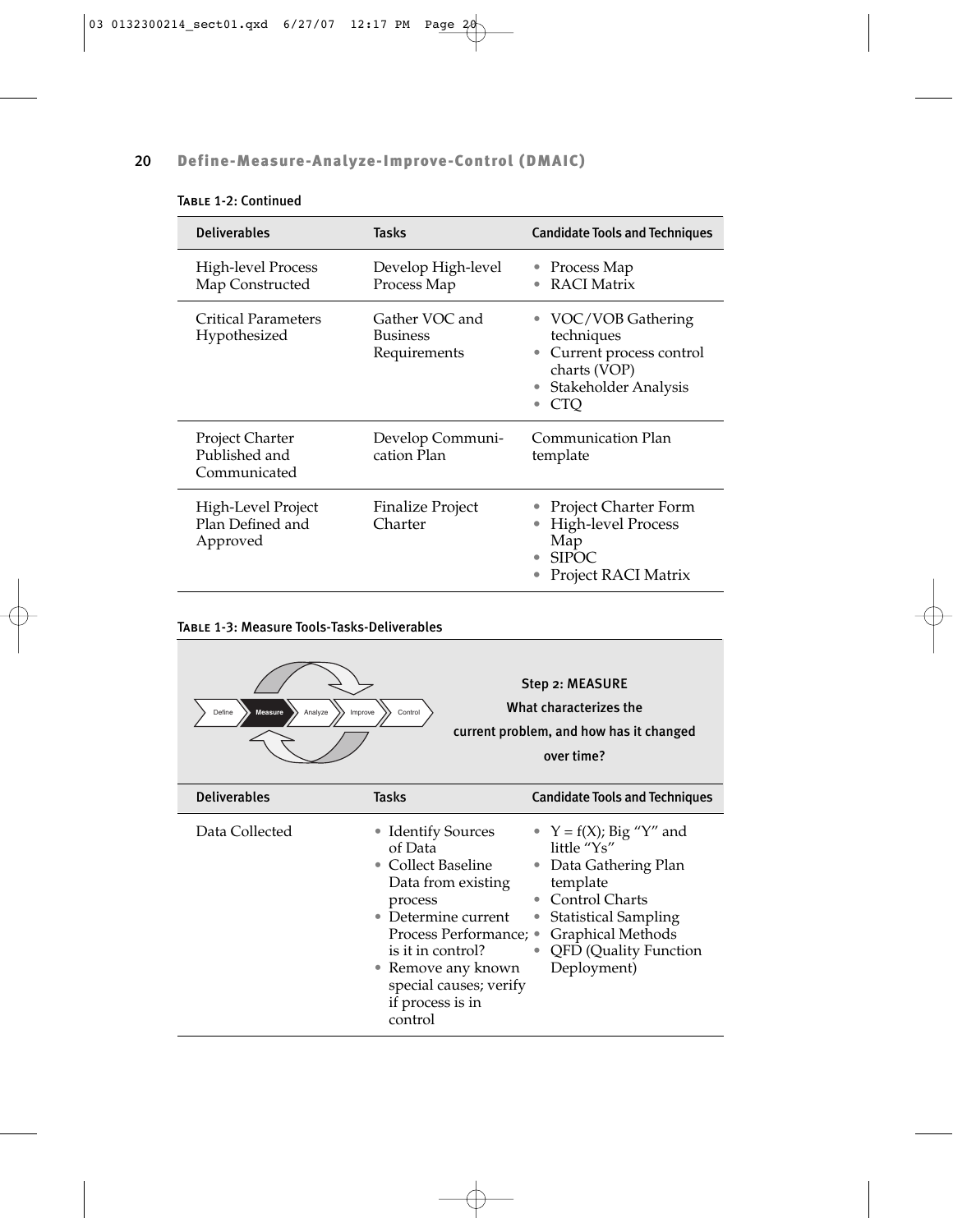| <b>Deliverables</b>                                     | <b>Tasks</b>                                      | <b>Candidate Tools and Techniques</b>                                                                                        |
|---------------------------------------------------------|---------------------------------------------------|------------------------------------------------------------------------------------------------------------------------------|
| High-level Process<br>Map Constructed                   | Develop High-level<br>Process Map                 | • Process Map<br><b>RACI Matrix</b>                                                                                          |
| <b>Critical Parameters</b><br>Hypothesized              | Gather VOC and<br><b>Business</b><br>Requirements | • VOC/VOB Gathering<br>techniques<br>• Current process control<br>charts (VOP)<br>• Stakeholder Analysis<br>CTO<br>$\bullet$ |
| <b>Project Charter</b><br>Published and<br>Communicated | Develop Communi-<br>cation Plan                   | Communication Plan<br>template                                                                                               |
| High-Level Project<br>Plan Defined and<br>Approved      | <b>Finalize Project</b><br>Charter                | Project Charter Form<br>High-level Process<br>Map<br><b>SIPOC</b><br>Project RACI Matrix                                     |

#### Table 1-2: Continued

#### Table 1-3: Measure Tools-Tasks-Deliverables

| Define<br><b>Measure</b><br>Analyze | Control<br>Improve                                                                                                                                                                                                                        | Step 2: MEASURE<br>What characterizes the<br>current problem, and how has it changed<br>over time?                                                                                                    |
|-------------------------------------|-------------------------------------------------------------------------------------------------------------------------------------------------------------------------------------------------------------------------------------------|-------------------------------------------------------------------------------------------------------------------------------------------------------------------------------------------------------|
| <b>Deliverables</b>                 | <b>Tasks</b>                                                                                                                                                                                                                              | <b>Candidate Tools and Techniques</b>                                                                                                                                                                 |
| Data Collected                      | • Identify Sources<br>of Data<br>• Collect Baseline<br>Data from existing<br>process<br>• Determine current<br>Process Performance; •<br>is it in control?<br>• Remove any known<br>special causes; verify<br>if process is in<br>control | • $Y = f(X)$ ; Big "Y" and<br>little "Ys"<br>• Data Gathering Plan<br>template<br>Control Charts<br><b>Statistical Sampling</b><br><b>Graphical Methods</b><br>• QFD (Quality Function<br>Deployment) |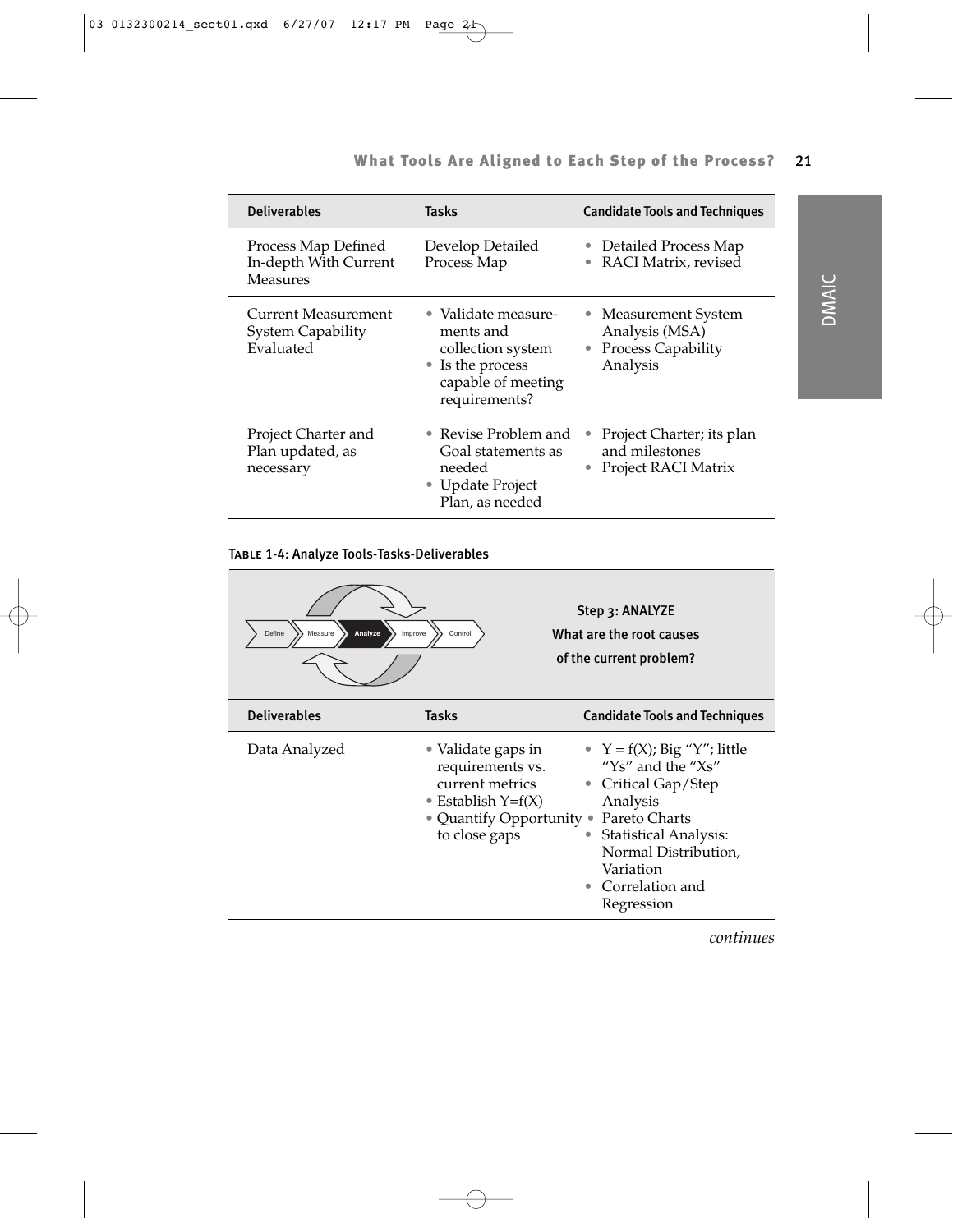| <b>Deliverables</b>                                             | Tasks                                                                                                            | <b>Candidate Tools and Techniques</b>                                      |
|-----------------------------------------------------------------|------------------------------------------------------------------------------------------------------------------|----------------------------------------------------------------------------|
| Process Map Defined<br>In-depth With Current<br><b>Measures</b> | Develop Detailed<br>Process Map                                                                                  | • Detailed Process Map<br>• RACI Matrix, revised                           |
| Current Measurement<br><b>System Capability</b><br>Evaluated    | • Validate measure-<br>ments and<br>collection system<br>• Is the process<br>capable of meeting<br>requirements? | • Measurement System<br>Analysis (MSA)<br>• Process Capability<br>Analysis |
| Project Charter and<br>Plan updated, as<br>necessary            | • Revise Problem and<br>Goal statements as<br>needed<br>• Update Project<br>Plan, as needed                      | Project Charter; its plan<br>and milestones<br>• Project RACI Matrix       |

#### Table 1-4: Analyze Tools-Tasks-Deliverables

| Define<br>Measure<br>Analyze | Control<br>Improve                                                                                                                   | Step 3: ANALYZE<br>What are the root causes<br>of the current problem?                                                                                                                                                       |
|------------------------------|--------------------------------------------------------------------------------------------------------------------------------------|------------------------------------------------------------------------------------------------------------------------------------------------------------------------------------------------------------------------------|
| <b>Deliverables</b>          | Tasks                                                                                                                                | <b>Candidate Tools and Techniques</b>                                                                                                                                                                                        |
| Data Analyzed                | • Validate gaps in<br>requirements vs.<br>current metrics<br>$\bullet$ Establish Y=f(X)<br>• Quantify Opportunity •<br>to close gaps | • $Y = f(X)$ ; Big "Y"; little<br>" $Ys$ " and the " $Xs$ "<br>• Critical Gap/Step<br>Analysis<br>Pareto Charts<br><b>Statistical Analysis:</b><br>۰<br>Normal Distribution,<br>Variation<br>• Correlation and<br>Regression |

*continues*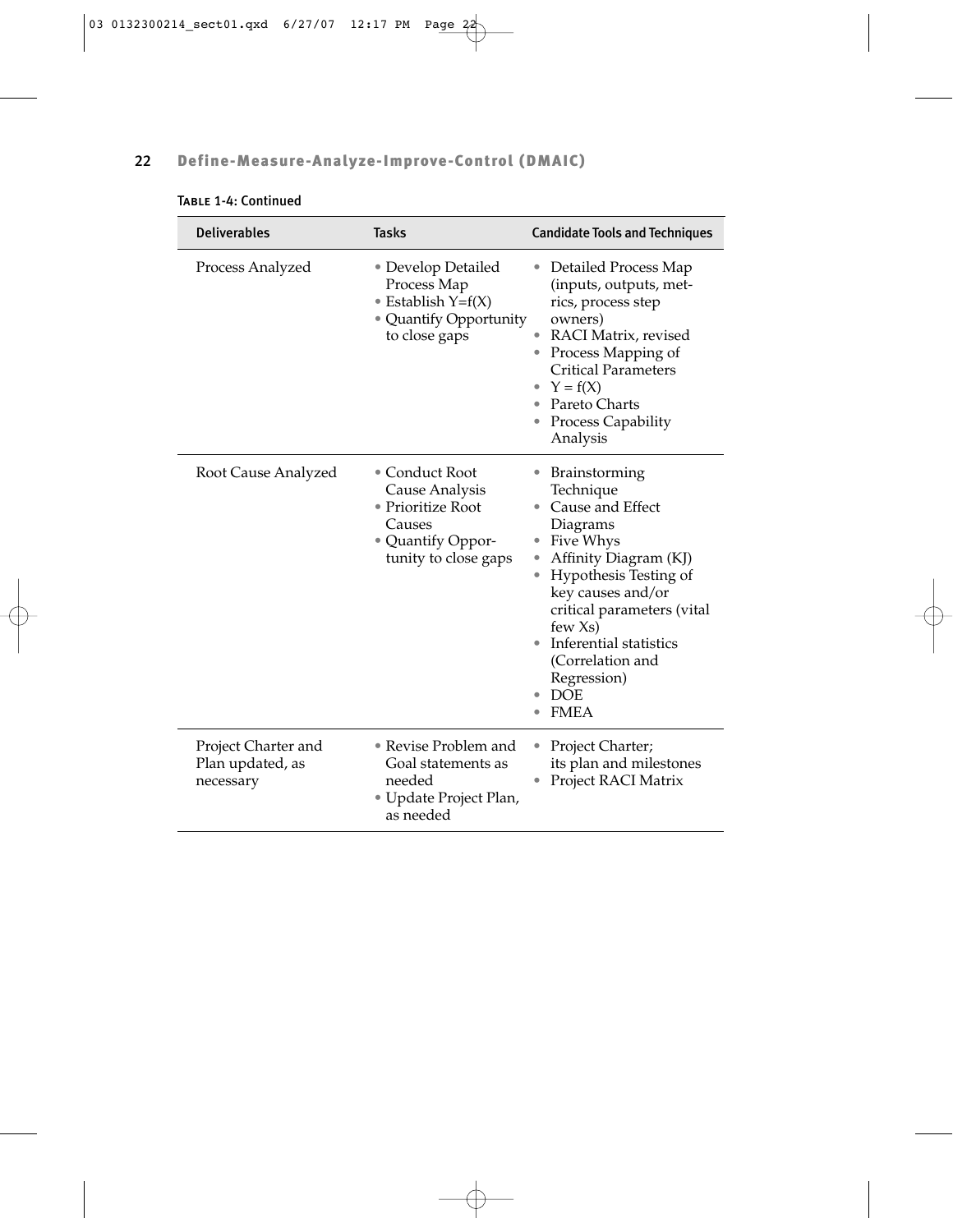| <b>Deliverables</b>                                  | <b>Tasks</b>                                                                                                  | <b>Candidate Tools and Techniques</b>                                                                                                                                                                                                                                                      |
|------------------------------------------------------|---------------------------------------------------------------------------------------------------------------|--------------------------------------------------------------------------------------------------------------------------------------------------------------------------------------------------------------------------------------------------------------------------------------------|
| Process Analyzed                                     | • Develop Detailed<br>Process Map<br>$\bullet$ Establish Y= $f(X)$<br>• Quantify Opportunity<br>to close gaps | Detailed Process Map<br>(inputs, outputs, met-<br>rics, process step<br>owners)<br>RACI Matrix, revised<br>Process Mapping of<br><b>Critical Parameters</b><br>$Y = f(X)$<br>Pareto Charts<br>Process Capability<br>Analysis                                                               |
| Root Cause Analyzed                                  | • Conduct Root<br>Cause Analysis<br>• Prioritize Root<br>Causes<br>· Quantify Oppor-<br>tunity to close gaps  | • Brainstorming<br>Technique<br>• Cause and Effect<br>Diagrams<br>Five Whys<br>Affinity Diagram (KJ)<br>Hypothesis Testing of<br>key causes and/or<br>critical parameters (vital<br>few $Xs$ )<br>• Inferential statistics<br>(Correlation and<br>Regression)<br><b>DOE</b><br><b>FMEA</b> |
| Project Charter and<br>Plan updated, as<br>necessary | • Revise Problem and<br>Goal statements as<br>needed<br>• Update Project Plan,<br>as needed                   | Project Charter;<br>its plan and milestones<br>Project RACI Matrix                                                                                                                                                                                                                         |

#### TABLE 1-4: Continued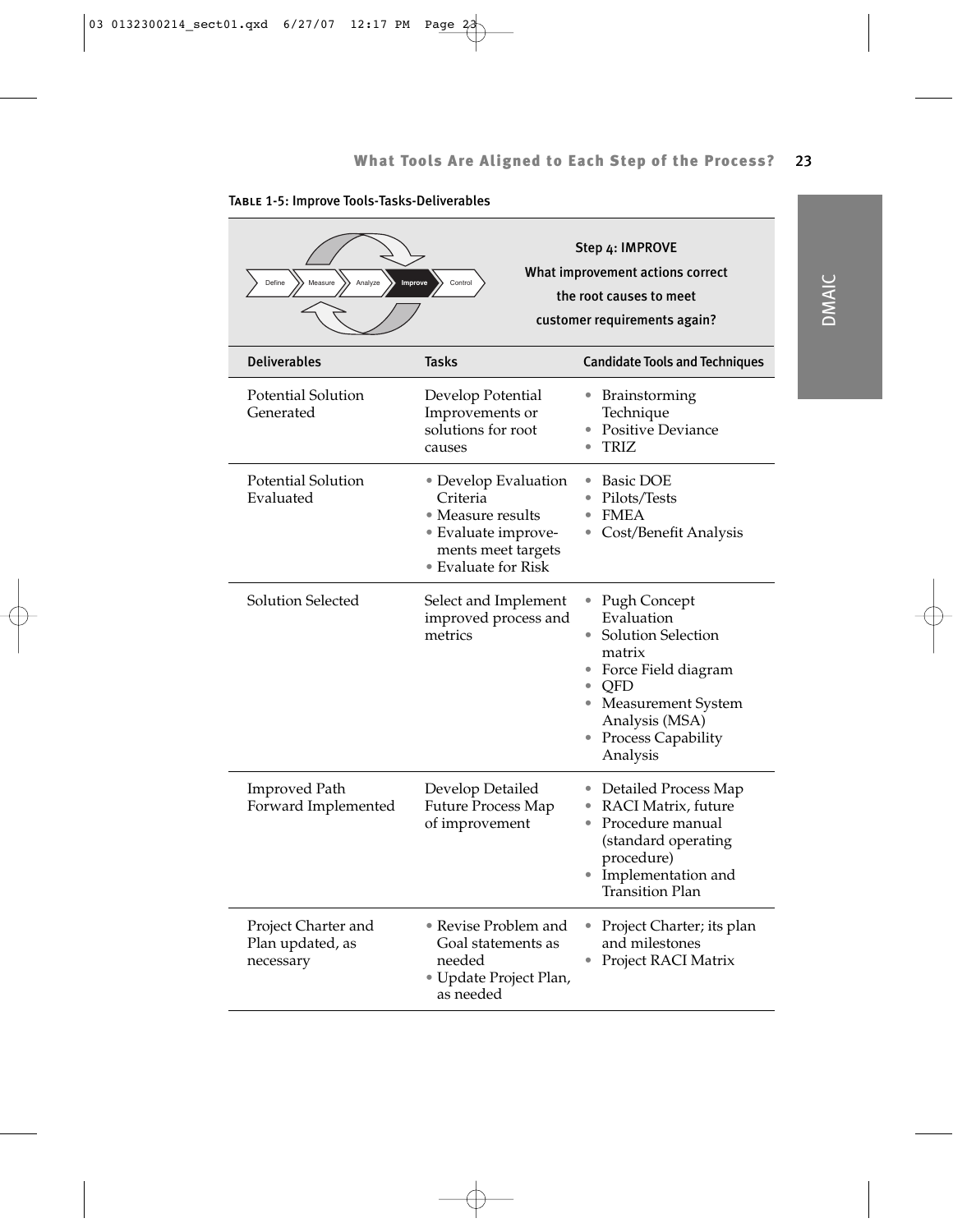| Define<br>Measure<br>Analyze                         | Control<br>Improve                                                                                                                | Step 4: IMPROVE<br>What improvement actions correct<br>the root causes to meet<br>customer requirements again?                                                                             |
|------------------------------------------------------|-----------------------------------------------------------------------------------------------------------------------------------|--------------------------------------------------------------------------------------------------------------------------------------------------------------------------------------------|
| <b>Deliverables</b>                                  | <b>Tasks</b>                                                                                                                      | <b>Candidate Tools and Techniques</b>                                                                                                                                                      |
| <b>Potential Solution</b><br>Generated               | Develop Potential<br>Improvements or<br>solutions for root<br>causes                                                              | <b>Brainstorming</b><br>Technique<br><b>Positive Deviance</b><br>TRIZ                                                                                                                      |
| <b>Potential Solution</b><br>Evaluated               | • Develop Evaluation<br>Criteria<br>$\bullet$ Measure results<br>· Evaluate improve-<br>ments meet targets<br>• Evaluate for Risk | <b>Basic DOE</b><br>Pilots/Tests<br><b>FMEA</b><br>Cost/Benefit Analysis                                                                                                                   |
| Solution Selected                                    | Select and Implement<br>improved process and<br>metrics                                                                           | Pugh Concept<br>Evaluation<br><b>Solution Selection</b><br>matrix<br>• Force Field diagram<br>$\bullet$ QFD<br>Measurement System<br>Analysis (MSA)<br>Process Capability<br>۰<br>Analysis |
| <b>Improved Path</b><br>Forward Implemented          | Develop Detailed<br>Future Process Map<br>of improvement                                                                          | Detailed Process Map<br>RACI Matrix, future<br>Procedure manual<br>(standard operating<br>procedure)<br>• Implementation and<br>Transition Plan                                            |
| Project Charter and<br>Plan updated, as<br>necessary | • Revise Problem and<br>Goal statements as<br>needed<br>· Update Project Plan,<br>as needed                                       | Project Charter; its plan<br>and milestones<br>Project RACI Matrix                                                                                                                         |

Table 1-5: Improve Tools-Tasks-Deliverables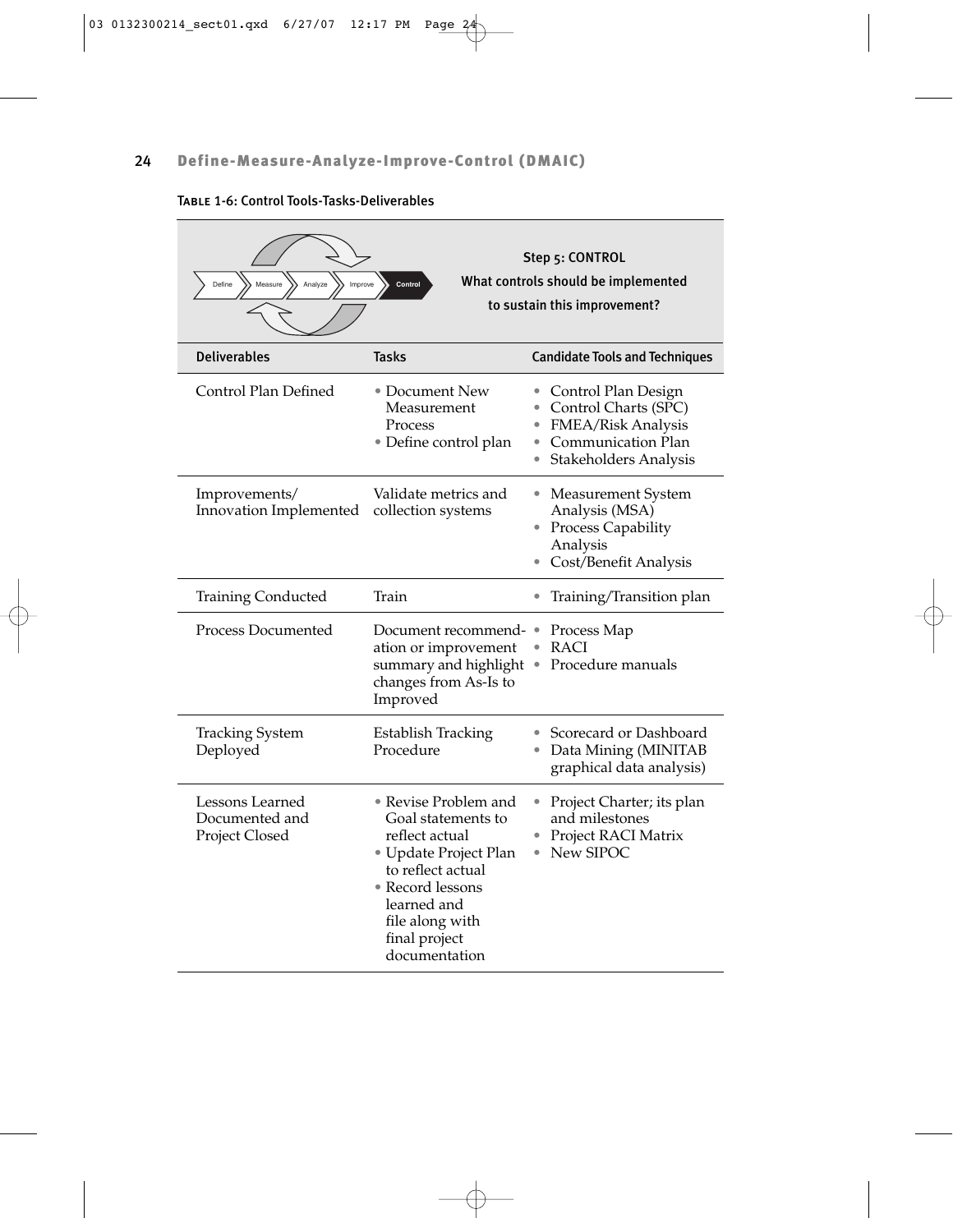| Analyze<br>Define<br>Measure<br>Improve             | Control                                                                                                                                                                                                    | Step 5: CONTROL<br>What controls should be implemented<br>to sustain this improvement?                           |
|-----------------------------------------------------|------------------------------------------------------------------------------------------------------------------------------------------------------------------------------------------------------------|------------------------------------------------------------------------------------------------------------------|
| <b>Deliverables</b>                                 | <b>Tasks</b>                                                                                                                                                                                               | <b>Candidate Tools and Techniques</b>                                                                            |
| Control Plan Defined                                | $\bullet$ Document New<br>Measurement<br>Process<br>• Define control plan                                                                                                                                  | Control Plan Design<br>Control Charts (SPC)<br>FMEA/Risk Analysis<br>Communication Plan<br>Stakeholders Analysis |
| Improvements/<br>Innovation Implemented             | Validate metrics and<br>collection systems                                                                                                                                                                 | Measurement System<br>Analysis (MSA)<br>• Process Capability<br>Analysis<br>Cost/Benefit Analysis                |
| <b>Training Conducted</b>                           | Train                                                                                                                                                                                                      | Training/Transition plan                                                                                         |
| Process Documented                                  | Document recommend- •<br>ation or improvement<br>summary and highlight<br>changes from As-Is to<br>Improved                                                                                                | Process Map<br>RACI<br>Procedure manuals<br>$\bullet$                                                            |
| <b>Tracking System</b><br>Deployed                  | Establish Tracking<br>Procedure                                                                                                                                                                            | Scorecard or Dashboard<br>Data Mining (MINITAB<br>graphical data analysis)                                       |
| Lessons Learned<br>Documented and<br>Project Closed | • Revise Problem and<br>Goal statements to<br>reflect actual<br>· Update Project Plan<br>to reflect actual<br>$\bullet$ Record lessons<br>learned and<br>file along with<br>final project<br>documentation | Project Charter; its plan<br>and milestones<br>Project RACI Matrix<br>New SIPOC                                  |

Table 1-6: Control Tools-Tasks-Deliverables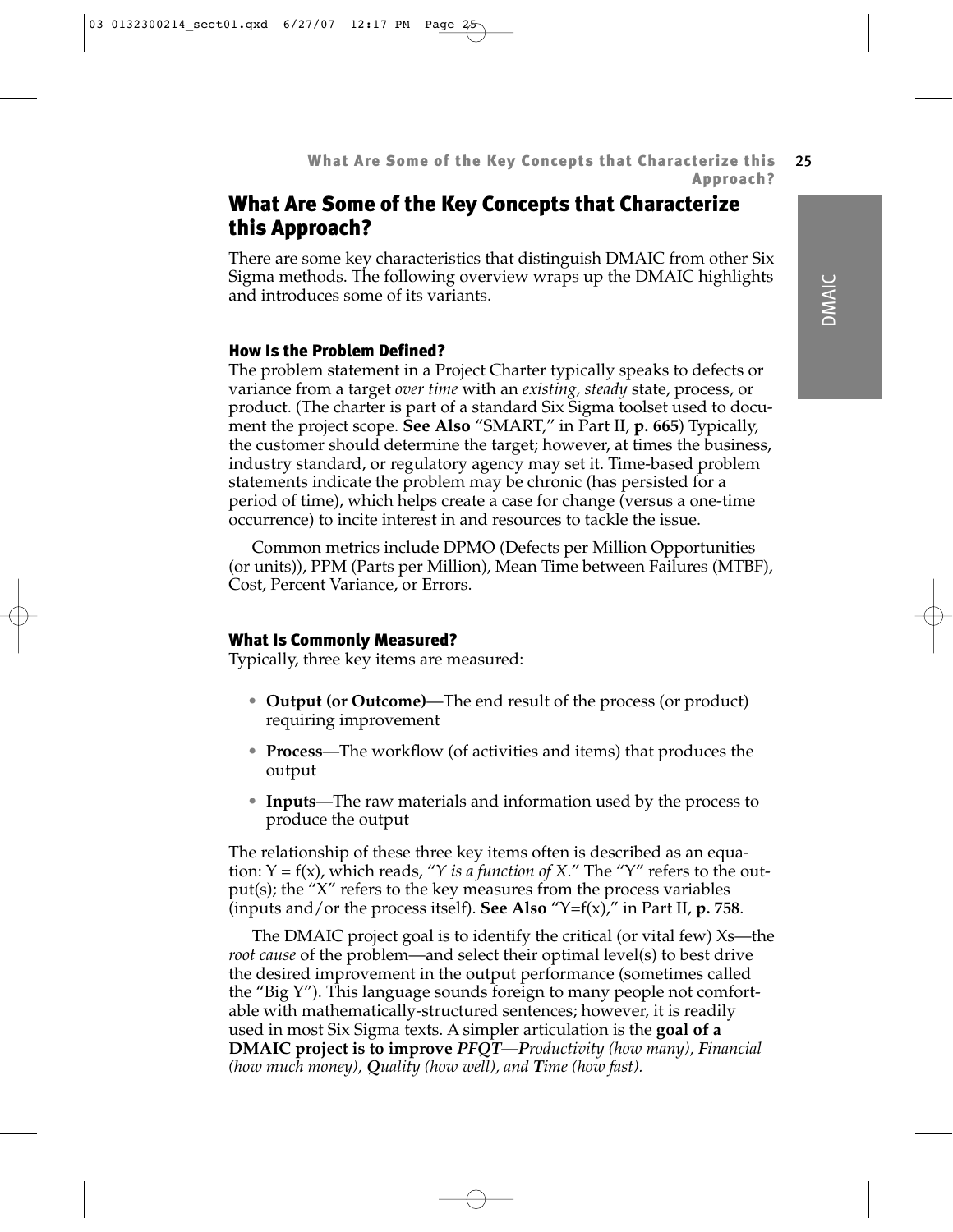### What Are Some of the Key Concepts that Characterize this Approach?

There are some key characteristics that distinguish DMAIC from other Six Sigma methods. The following overview wraps up the DMAIC highlights and introduces some of its variants.

#### How Is the Problem Defined?

The problem statement in a Project Charter typically speaks to defects or variance from a target *over time* with an *existing, steady* state, process, or product. (The charter is part of a standard Six Sigma toolset used to document the project scope. **See Also** "SMART," in Part II, **p. 665**) Typically, the customer should determine the target; however, at times the business, industry standard, or regulatory agency may set it. Time-based problem statements indicate the problem may be chronic (has persisted for a period of time), which helps create a case for change (versus a one-time occurrence) to incite interest in and resources to tackle the issue.

Common metrics include DPMO (Defects per Million Opportunities (or units)), PPM (Parts per Million), Mean Time between Failures (MTBF), Cost, Percent Variance, or Errors.

#### What Is Commonly Measured?

Typically, three key items are measured:

- **Output (or Outcome)**—The end result of the process (or product) requiring improvement
- **Process**—The workflow (of activities and items) that produces the output
- **Inputs**—The raw materials and information used by the process to produce the output

The relationship of these three key items often is described as an equation:  $Y = f(x)$ , which reads, "*Y* is a function of *X*." The "*Y*" refers to the output(s); the "X" refers to the key measures from the process variables (inputs and/or the process itself). **See Also** " $Y=f(x)$ ," in Part II, **p. 758**.

The DMAIC project goal is to identify the critical (or vital few) Xs—the *root cause* of the problem—and select their optimal level(s) to best drive the desired improvement in the output performance (sometimes called the "Big Y"). This language sounds foreign to many people not comfortable with mathematically-structured sentences; however, it is readily used in most Six Sigma texts. A simpler articulation is the **goal of a DMAIC project is to improve** *PFQT—Productivity (how many), Financial (how much money), Quality (how well), and Time (how fast).*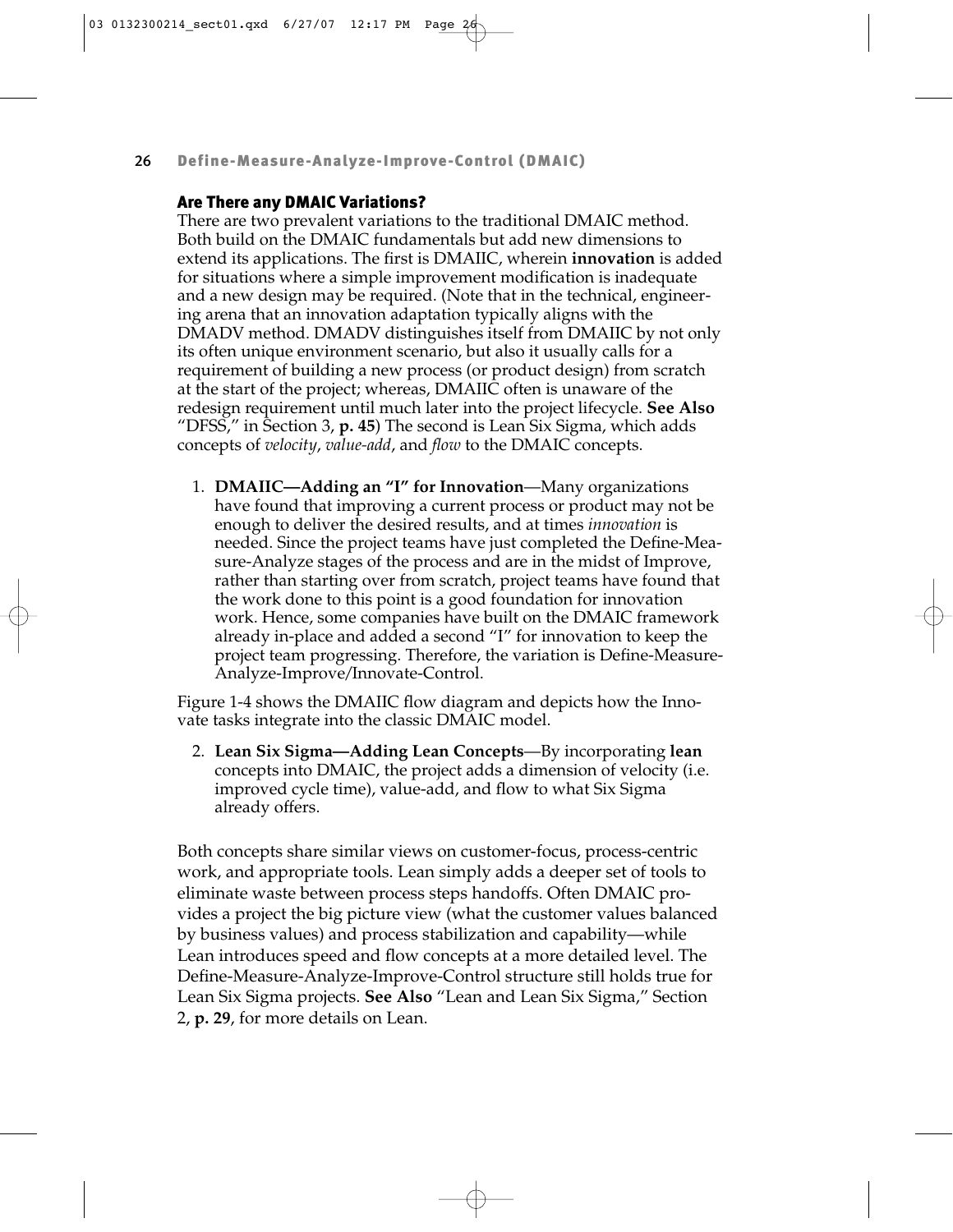#### Are There any DMAIC Variations?

There are two prevalent variations to the traditional DMAIC method. Both build on the DMAIC fundamentals but add new dimensions to extend its applications. The first is DMAIIC, wherein **innovation** is added for situations where a simple improvement modification is inadequate and a new design may be required. (Note that in the technical, engineering arena that an innovation adaptation typically aligns with the DMADV method. DMADV distinguishes itself from DMAIIC by not only its often unique environment scenario, but also it usually calls for a requirement of building a new process (or product design) from scratch at the start of the project; whereas, DMAIIC often is unaware of the redesign requirement until much later into the project lifecycle. **See Also** "DFSS," in Section 3, **p. 45**) The second is Lean Six Sigma, which adds concepts of *velocity*, *value-add*, and *flow* to the DMAIC concepts.

1. **DMAIIC—Adding an "I" for Innovation**—Many organizations have found that improving a current process or product may not be enough to deliver the desired results, and at times *innovation* is needed. Since the project teams have just completed the Define-Measure-Analyze stages of the process and are in the midst of Improve, rather than starting over from scratch, project teams have found that the work done to this point is a good foundation for innovation work. Hence, some companies have built on the DMAIC framework already in-place and added a second "I" for innovation to keep the project team progressing. Therefore, the variation is Define-Measure-Analyze-Improve/Innovate-Control.

Figure 1-4 shows the DMAIIC flow diagram and depicts how the Innovate tasks integrate into the classic DMAIC model.

2. **Lean Six Sigma—Adding Lean Concepts**—By incorporating **lean** concepts into DMAIC, the project adds a dimension of velocity (i.e. improved cycle time), value-add, and flow to what Six Sigma already offers.

Both concepts share similar views on customer-focus, process-centric work, and appropriate tools. Lean simply adds a deeper set of tools to eliminate waste between process steps handoffs. Often DMAIC provides a project the big picture view (what the customer values balanced by business values) and process stabilization and capability—while Lean introduces speed and flow concepts at a more detailed level. The Define-Measure-Analyze-Improve-Control structure still holds true for Lean Six Sigma projects. **See Also** "Lean and Lean Six Sigma," Section 2, **p. 29**, for more details on Lean.